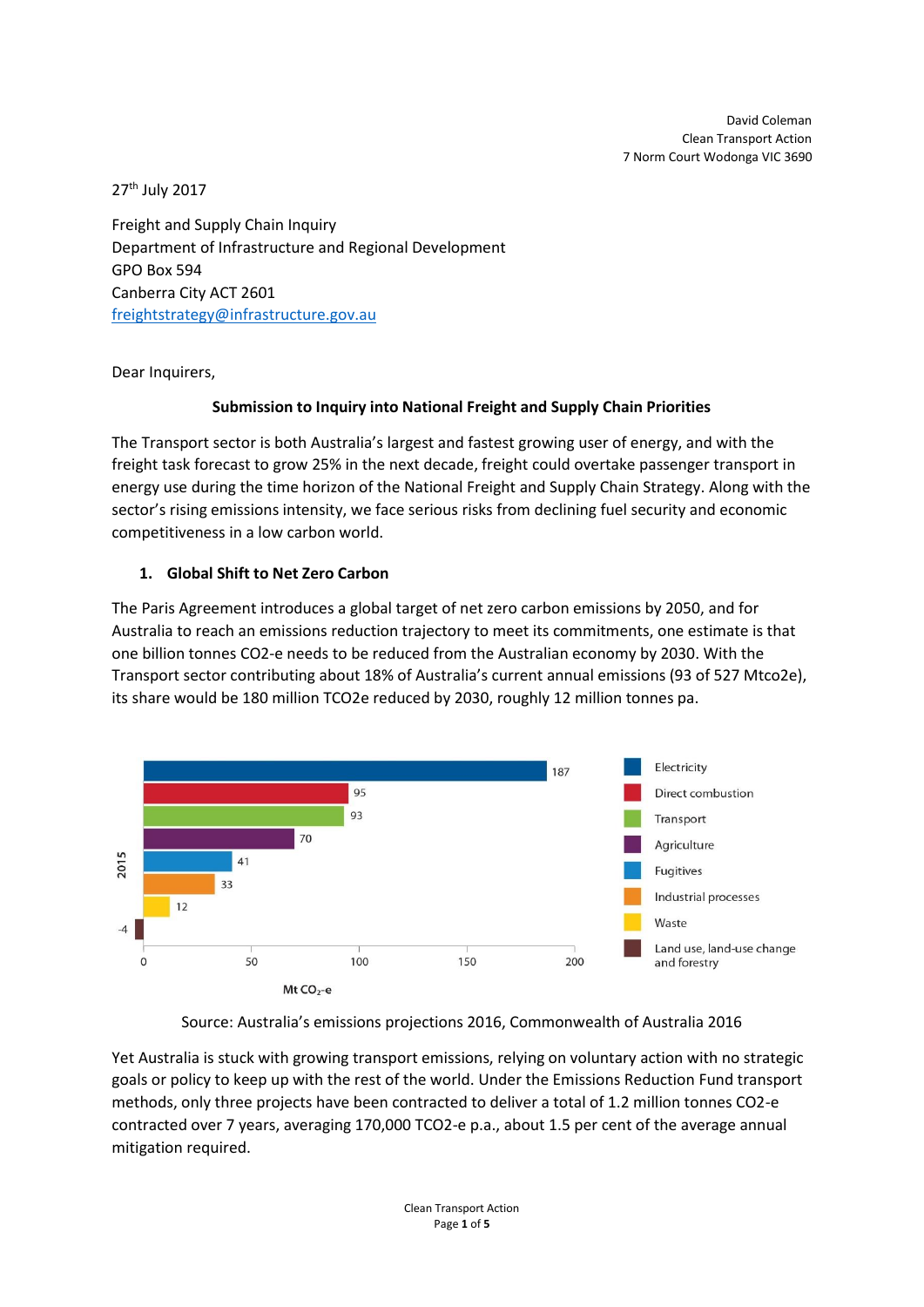David Coleman Clean Transport Action 7 Norm Court Wodonga VIC 3690

27 th July 2017

Freight and Supply Chain Inquiry Department of Infrastructure and Regional Development GPO Box 594 Canberra City ACT 2601 [freightstrategy@infrastructure.gov.au](mailto:freightstrategy@infrastructure.gov.au)

Dear Inquirers,

### **Submission to Inquiry into National Freight and Supply Chain Priorities**

The Transport sector is both Australia's largest and fastest growing user of energy, and with the freight task forecast to grow 25% in the next decade, freight could overtake passenger transport in energy use during the time horizon of the National Freight and Supply Chain Strategy. Along with the sector's rising emissions intensity, we face serious risks from declining fuel security and economic competitiveness in a low carbon world.

### **1. Global Shift to Net Zero Carbon**

The Paris Agreement introduces a global target of net zero carbon emissions by 2050, and for Australia to reach an emissions reduction trajectory to meet its commitments, one estimate is that one billion tonnes CO2-e needs to be reduced from the Australian economy by 2030. With the Transport sector contributing about 18% of Australia's current annual emissions (93 of 527 Mtco2e), its share would be 180 million TCO2e reduced by 2030, roughly 12 million tonnes pa.



Source: Australia's emissions projections 2016, Commonwealth of Australia 2016

Yet Australia is stuck with growing transport emissions, relying on voluntary action with no strategic goals or policy to keep up with the rest of the world. Under the Emissions Reduction Fund transport methods, only three projects have been contracted to deliver a total of 1.2 million tonnes CO2-e contracted over 7 years, averaging 170,000 TCO2-e p.a., about 1.5 per cent of the average annual mitigation required.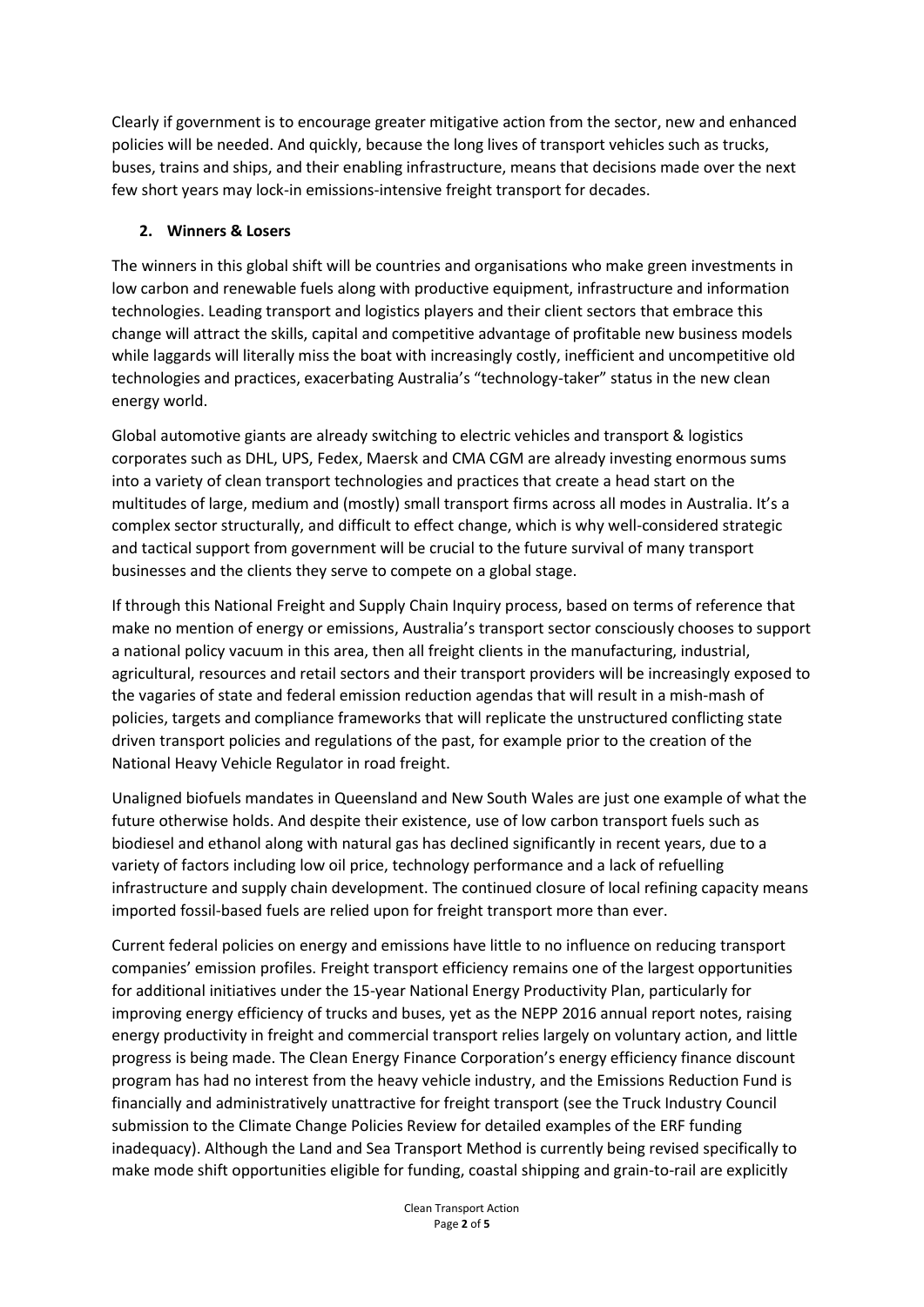Clearly if government is to encourage greater mitigative action from the sector, new and enhanced policies will be needed. And quickly, because the long lives of transport vehicles such as trucks, buses, trains and ships, and their enabling infrastructure, means that decisions made over the next few short years may lock-in emissions-intensive freight transport for decades.

### **2. Winners & Losers**

The winners in this global shift will be countries and organisations who make green investments in low carbon and renewable fuels along with productive equipment, infrastructure and information technologies. Leading transport and logistics players and their client sectors that embrace this change will attract the skills, capital and competitive advantage of profitable new business models while laggards will literally miss the boat with increasingly costly, inefficient and uncompetitive old technologies and practices, exacerbating Australia's "technology-taker" status in the new clean energy world.

Global automotive giants are already switching to electric vehicles and transport & logistics corporates such as DHL, UPS, Fedex, Maersk and CMA CGM are already investing enormous sums into a variety of clean transport technologies and practices that create a head start on the multitudes of large, medium and (mostly) small transport firms across all modes in Australia. It's a complex sector structurally, and difficult to effect change, which is why well-considered strategic and tactical support from government will be crucial to the future survival of many transport businesses and the clients they serve to compete on a global stage.

If through this National Freight and Supply Chain Inquiry process, based on terms of reference that make no mention of energy or emissions, Australia's transport sector consciously chooses to support a national policy vacuum in this area, then all freight clients in the manufacturing, industrial, agricultural, resources and retail sectors and their transport providers will be increasingly exposed to the vagaries of state and federal emission reduction agendas that will result in a mish-mash of policies, targets and compliance frameworks that will replicate the unstructured conflicting state driven transport policies and regulations of the past, for example prior to the creation of the National Heavy Vehicle Regulator in road freight.

Unaligned biofuels mandates in Queensland and New South Wales are just one example of what the future otherwise holds. And despite their existence, use of low carbon transport fuels such as biodiesel and ethanol along with natural gas has declined significantly in recent years, due to a variety of factors including low oil price, technology performance and a lack of refuelling infrastructure and supply chain development. The continued closure of local refining capacity means imported fossil-based fuels are relied upon for freight transport more than ever.

Current federal policies on energy and emissions have little to no influence on reducing transport companies' emission profiles. Freight transport efficiency remains one of the largest opportunities for additional initiatives under the 15-year National Energy Productivity Plan, particularly for improving energy efficiency of trucks and buses, yet as the NEPP 2016 annual report notes, raising energy productivity in freight and commercial transport relies largely on voluntary action, and little progress is being made. The Clean Energy Finance Corporation's energy efficiency finance discount program has had no interest from the heavy vehicle industry, and the Emissions Reduction Fund is financially and administratively unattractive for freight transport (see the Truck Industry Council submission to the Climate Change Policies Review for detailed examples of the ERF funding inadequacy). Although the Land and Sea Transport Method is currently being revised specifically to make mode shift opportunities eligible for funding, coastal shipping and grain-to-rail are explicitly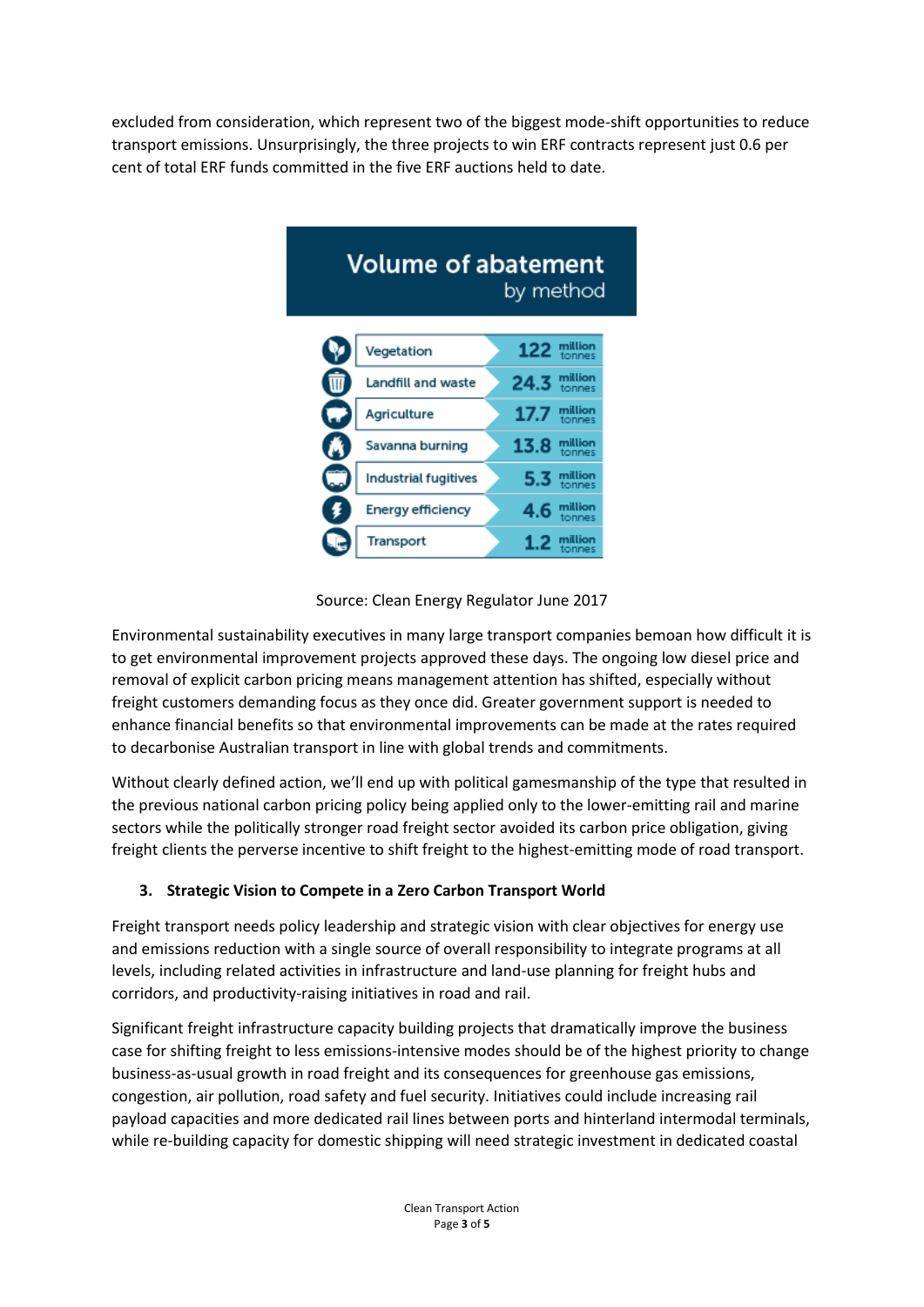excluded from consideration, which represent two of the biggest mode-shift opportunities to reduce transport emissions. Unsurprisingly, the three projects to win ERF contracts represent just 0.6 per cent of total ERF funds committed in the five ERF auctions held to date.



Source: Clean Energy Regulator June 2017

Environmental sustainability executives in many large transport companies bemoan how difficult it is to get environmental improvement projects approved these days. The ongoing low diesel price and removal of explicit carbon pricing means management attention has shifted, especially without freight customers demanding focus as they once did. Greater government support is needed to enhance financial benefits so that environmental improvements can be made at the rates required to decarbonise Australian transport in line with global trends and commitments.

Without clearly defined action, we'll end up with political gamesmanship of the type that resulted in the previous national carbon pricing policy being applied only to the lower-emitting rail and marine sectors while the politically stronger road freight sector avoided its carbon price obligation, giving freight clients the perverse incentive to shift freight to the highest-emitting mode of road transport.

# **3. Strategic Vision to Compete in a Zero Carbon Transport World**

Freight transport needs policy leadership and strategic vision with clear objectives for energy use and emissions reduction with a single source of overall responsibility to integrate programs at all levels, including related activities in infrastructure and land-use planning for freight hubs and corridors, and productivity-raising initiatives in road and rail.

Significant freight infrastructure capacity building projects that dramatically improve the business case for shifting freight to less emissions-intensive modes should be of the highest priority to change business-as-usual growth in road freight and its consequences for greenhouse gas emissions, congestion, air pollution, road safety and fuel security. Initiatives could include increasing rail payload capacities and more dedicated rail lines between ports and hinterland intermodal terminals, while re-building capacity for domestic shipping will need strategic investment in dedicated coastal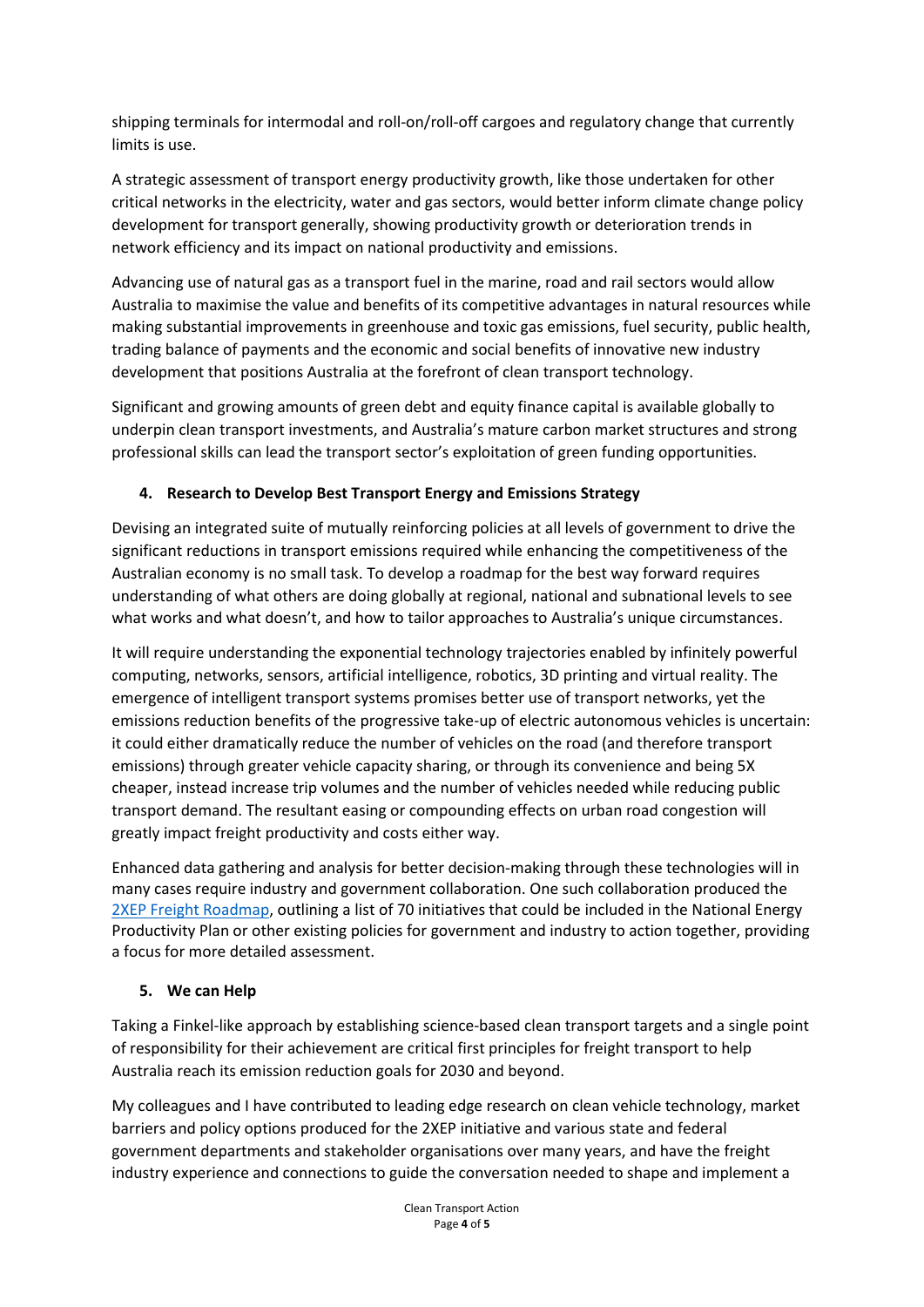shipping terminals for intermodal and roll-on/roll-off cargoes and regulatory change that currently limits is use.

A strategic assessment of transport energy productivity growth, like those undertaken for other critical networks in the electricity, water and gas sectors, would better inform climate change policy development for transport generally, showing productivity growth or deterioration trends in network efficiency and its impact on national productivity and emissions.

Advancing use of natural gas as a transport fuel in the marine, road and rail sectors would allow Australia to maximise the value and benefits of its competitive advantages in natural resources while making substantial improvements in greenhouse and toxic gas emissions, fuel security, public health, trading balance of payments and the economic and social benefits of innovative new industry development that positions Australia at the forefront of clean transport technology.

Significant and growing amounts of green debt and equity finance capital is available globally to underpin clean transport investments, and Australia's mature carbon market structures and strong professional skills can lead the transport sector's exploitation of green funding opportunities.

# **4. Research to Develop Best Transport Energy and Emissions Strategy**

Devising an integrated suite of mutually reinforcing policies at all levels of government to drive the significant reductions in transport emissions required while enhancing the competitiveness of the Australian economy is no small task. To develop a roadmap for the best way forward requires understanding of what others are doing globally at regional, national and subnational levels to see what works and what doesn't, and how to tailor approaches to Australia's unique circumstances.

It will require understanding the exponential technology trajectories enabled by infinitely powerful computing, networks, sensors, artificial intelligence, robotics, 3D printing and virtual reality. The emergence of intelligent transport systems promises better use of transport networks, yet the emissions reduction benefits of the progressive take-up of electric autonomous vehicles is uncertain: it could either dramatically reduce the number of vehicles on the road (and therefore transport emissions) through greater vehicle capacity sharing, or through its convenience and being 5X cheaper, instead increase trip volumes and the number of vehicles needed while reducing public transport demand. The resultant easing or compounding effects on urban road congestion will greatly impact freight productivity and costs either way.

Enhanced data gathering and analysis for better decision-making through these technologies will in many cases require industry and government collaboration. One such collaboration produced the [2XEP Freight Roadmap,](http://www.2xep.org.au/files/2xEP_Freight_transport_roadmap_v3_0_170212.pdf) outlining a list of 70 initiatives that could be included in the National Energy Productivity Plan or other existing policies for government and industry to action together, providing a focus for more detailed assessment.

# **5. We can Help**

Taking a Finkel-like approach by establishing science-based clean transport targets and a single point of responsibility for their achievement are critical first principles for freight transport to help Australia reach its emission reduction goals for 2030 and beyond.

My colleagues and I have contributed to leading edge research on clean vehicle technology, market barriers and policy options produced for the 2XEP initiative and various state and federal government departments and stakeholder organisations over many years, and have the freight industry experience and connections to guide the conversation needed to shape and implement a